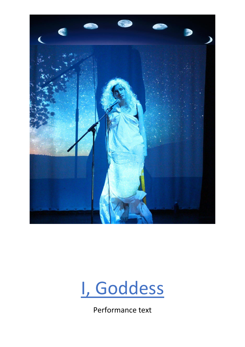



Performance text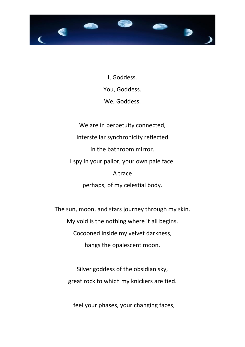

I, Goddess. You, Goddess. We, Goddess.

We are in perpetuity connected, interstellar synchronicity reflected in the bathroom mirror. I spy in your pallor, your own pale face. A trace perhaps, of my celestial body.

The sun, moon, and stars journey through my skin. My void is the nothing where it all begins. Cocooned inside my velvet darkness, hangs the opalescent moon.

Silver goddess of the obsidian sky, great rock to which my knickers are tied.

I feel your phases, your changing faces,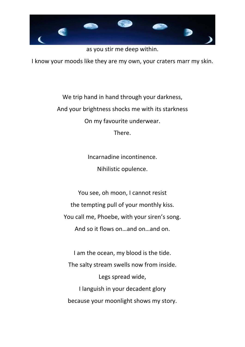

as you stir me deep within.

I know your moods like they are my own, your craters marr my skin.

We trip hand in hand through your darkness, And your brightness shocks me with its starkness On my favourite underwear. There.

> Incarnadine incontinence. Nihilistic opulence.

You see, oh moon, I cannot resist the tempting pull of your monthly kiss. You call me, Phoebe, with your siren's song. And so it flows on…and on…and on.

I am the ocean, my blood is the tide. The salty stream swells now from inside. Legs spread wide, I languish in your decadent glory because your moonlight shows my story.